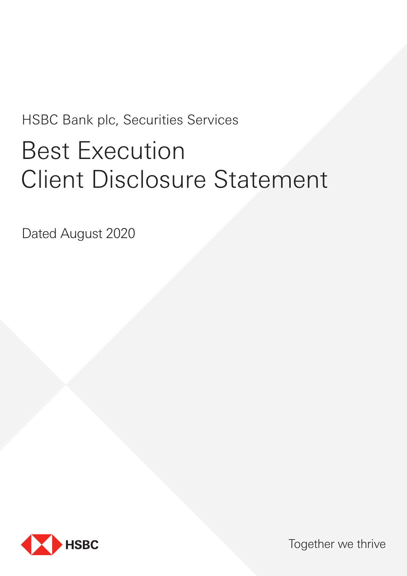# HSBC Bank plc, Securities Services Best Execution Client Disclosure Statement

Dated August 2020



Together we thrive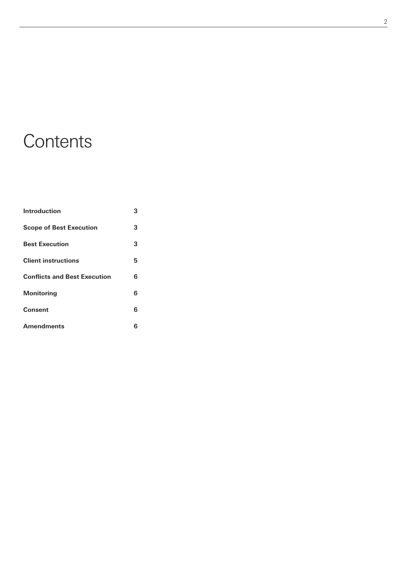# **Contents**

| <b>Introduction</b>                 |   |
|-------------------------------------|---|
| <b>Scope of Best Execution</b>      | 3 |
| <b>Best Execution</b>               | 3 |
| <b>Client instructions</b>          | 5 |
| <b>Conflicts and Best Execution</b> | 6 |
| <b>Monitoring</b>                   | 6 |
| <b>Consent</b>                      | 6 |
| <b>Amendments</b>                   | 6 |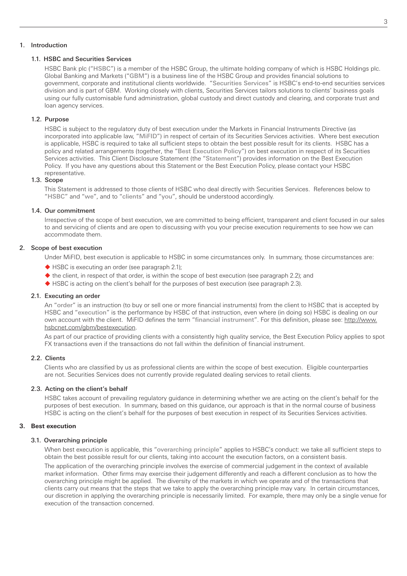# 1. Introduction

## 1.1. HSBC and Securities Services

HSBC Bank plc ("HSBC") is a member of the HSBC Group, the ultimate holding company of which is HSBC Holdings plc. Global Banking and Markets ("GBM") is a business line of the HSBC Group and provides financial solutions to government, corporate and institutional clients worldwide. "Securities Services" is HSBC's end-to-end securities services division and is part of GBM. Working closely with clients, Securities Services tailors solutions to clients' business goals using our fully customisable fund administration, global custody and direct custody and clearing, and corporate trust and loan agency services.

# 1.2. Purpose

HSBC is subject to the regulatory duty of best execution under the Markets in Financial Instruments Directive (as incorporated into applicable law, "MiFID") in respect of certain of its Securities Services activities. Where best execution is applicable, HSBC is required to take all sufficient steps to obtain the best possible result for its clients. HSBC has a policy and related arrangements (together, the "Best Execution Policy") on best execution in respect of its Securities Services activities. This Client Disclosure Statement (the "Statement") provides information on the Best Execution Policy. If you have any questions about this Statement or the Best Execution Policy, please contact your HSBC representative.

# 1.3. Scope

This Statement is addressed to those clients of HSBC who deal directly with Securities Services. References below to "HSBC" and "we", and to "clients" and "you", should be understood accordingly.

#### 1.4. Our commitment

Irrespective of the scope of best execution, we are committed to being efficient, transparent and client focused in our sales to and servicing of clients and are open to discussing with you your precise execution requirements to see how we can accommodate them.

# 2. Scope of best execution

Under MiFID, best execution is applicable to HSBC in some circumstances only. In summary, those circumstances are:

- ◆ HSBC is executing an order (see paragraph 2.1);
- $\blacklozenge$  the client, in respect of that order, is within the scope of best execution (see paragraph 2.2); and
- ◆ HSBC is acting on the client's behalf for the purposes of best execution (see paragraph 2.3).

# 2.1. Executing an order

An "order" is an instruction (to buy or sell one or more financial instruments) from the client to HSBC that is accepted by HSBC and "execution" is the performance by HSBC of that instruction, even where (in doing so) HSBC is dealing on our own account with the client. MiFID defines the term "financial instrument". For this definition, please see: [http://www.](https://www.hsbcnet.com/gbm/bestexecution) [hsbcnet.com/gbm/bestexecution](https://www.hsbcnet.com/gbm/bestexecution).

As part of our practice of providing clients with a consistently high quality service, the Best Execution Policy applies to spot FX transactions even if the transactions do not fall within the definition of financial instrument.

### 2.2. Clients

Clients who are classified by us as professional clients are within the scope of best execution. Eligible counterparties are not. Securities Services does not currently provide regulated dealing services to retail clients.

# 2.3. Acting on the client's behalf

HSBC takes account of prevailing regulatory guidance in determining whether we are acting on the client's behalf for the purposes of best execution. In summary, based on this guidance, our approach is that in the normal course of business HSBC is acting on the client's behalf for the purposes of best execution in respect of its Securities Services activities.

#### **3. Best execution**

#### 3.1. Overarching principle

When best execution is applicable, this "overarching principle" applies to HSBC's conduct: we take all sufficient steps to obtain the best possible result for our clients, taking into account the execution factors, on a consistent basis.

The application of the overarching principle involves the exercise of commercial judgement in the context of available market information. Other firms may exercise their judgement differently and reach a different conclusion as to how the overarching principle might be applied. The diversity of the markets in which we operate and of the transactions that clients carry out means that the steps that we take to apply the overarching principle may vary. In certain circumstances, our discretion in applying the overarching principle is necessarily limited. For example, there may only be a single venue for execution of the transaction concerned.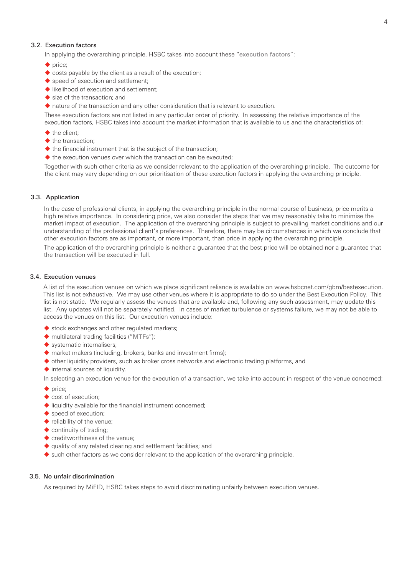# 3.2. Execution factors

In applying the overarching principle, HSBC takes into account these "execution factors":

- $\blacklozenge$  price;
- costs payable by the client as a result of the execution;
- ◆ speed of execution and settlement:
- $\blacklozenge$  likelihood of execution and settlement;
- size of the transaction; and
- nature of the transaction and any other consideration that is relevant to execution.

These execution factors are not listed in any particular order of priority. In assessing the relative importance of the execution factors, HSBC takes into account the market information that is available to us and the characteristics of:

- $\blacklozenge$  the client:
- the transaction:
- $\blacklozenge$  the financial instrument that is the subject of the transaction;
- $\blacklozenge$  the execution venues over which the transaction can be executed;

Together with such other criteria as we consider relevant to the application of the overarching principle. The outcome for the client may vary depending on our prioritisation of these execution factors in applying the overarching principle.

#### 3.3. Application

In the case of professional clients, in applying the overarching principle in the normal course of business, price merits a high relative importance. In considering price, we also consider the steps that we may reasonably take to minimise the market impact of execution. The application of the overarching principle is subject to prevailing market conditions and our understanding of the professional client's preferences. Therefore, there may be circumstances in which we conclude that other execution factors are as important, or more important, than price in applying the overarching principle.

The application of the overarching principle is neither a guarantee that the best price will be obtained nor a guarantee that the transaction will be executed in full.

# 3.4. Execution venues

A list of the execution venues on which we place significant reliance is available on www.hsbcnet.com/gbm/bestexecution. This list is not exhaustive. We may use other venues where it is appropriate to do so under the Best Execution Policy. This list is not static. We regularly assess the venues that are available and, following any such assessment, may update this list. Any updates will not be separately notified. In cases of market turbulence or systems failure, we may not be able to access the venues on this list. Our execution venues include:

- stock exchanges and other regulated markets;
- ◆ multilateral trading facilities ("MTFs");
- systematic internalisers:
- ◆ market makers (including, brokers, banks and investment firms);
- $\blacklozenge$  other liquidity providers, such as broker cross networks and electronic trading platforms, and
- $\blacklozenge$  internal sources of liquidity.

In selecting an execution venue for the execution of a transaction, we take into account in respect of the venue concerned:

- $\blacklozenge$  price;
- cost of execution:
- $\blacklozenge$  liquidity available for the financial instrument concerned:
- speed of execution:
- ◆ reliability of the venue;
- continuity of trading;
- ◆ creditworthiness of the venue;
- $\blacklozenge$  quality of any related clearing and settlement facilities; and
- $\blacklozenge$  such other factors as we consider relevant to the application of the overarching principle.

# 3.5. No unfair discrimination

As required by MiFID, HSBC takes steps to avoid discriminating unfairly between execution venues.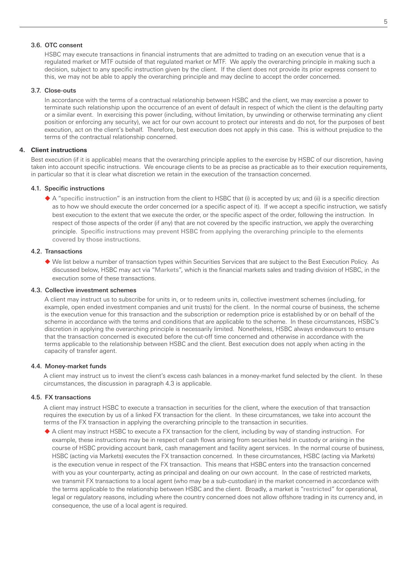# 3.6. OTC consent

HSBC may execute transactions in financial instruments that are admitted to trading on an execution venue that is a regulated market or MTF outside of that regulated market or MTF. We apply the overarching principle in making such a decision, subject to any specific instruction given by the client. If the client does not provide its prior express consent to this, we may not be able to apply the overarching principle and may decline to accept the order concerned.

## 3.7. Close-outs

In accordance with the terms of a contractual relationship between HSBC and the client, we may exercise a power to terminate such relationship upon the occurrence of an event of default in respect of which the client is the defaulting party or a similar event. In exercising this power (including, without limitation, by unwinding or otherwise terminating any client position or enforcing any security), we act for our own account to protect our interests and do not, for the purposes of best execution, act on the client's behalf. Therefore, best execution does not apply in this case. This is without prejudice to the terms of the contractual relationship concerned.

#### **4. Client instructions**

Best execution (if it is applicable) means that the overarching principle applies to the exercise by HSBC of our discretion, having taken into account specific instructions. We encourage clients to be as precise as practicable as to their execution requirements, in particular so that it is clear what discretion we retain in the execution of the transaction concerned.

#### 4.1. Specific instructions

 A "specific instruction" is an instruction from the client to HSBC that (i) is accepted by us; and (ii) is a specific direction as to how we should execute the order concerned (or a specific aspect of it). If we accept a specific instruction, we satisfy best execution to the extent that we execute the order, or the specific aspect of the order, following the instruction. In respect of those aspects of the order (if any) that are not covered by the specific instruction, we apply the overarching principle. Specific instructions may prevent HSBC from applying the overarching principle to the elements covered by those instructions.

# 4.2. Transactions

 We list below a number of transaction types within Securities Services that are subject to the Best Execution Policy. As discussed below, HSBC may act via "Markets", which is the financial markets sales and trading division of HSBC, in the execution some of these transactions.

#### 4.3. Collective investment schemes

A client may instruct us to subscribe for units in, or to redeem units in, collective investment schemes (including, for example, open ended investment companies and unit trusts) for the client. In the normal course of business, the scheme is the execution venue for this transaction and the subscription or redemption price is established by or on behalf of the scheme in accordance with the terms and conditions that are applicable to the scheme. In these circumstances, HSBC's discretion in applying the overarching principle is necessarily limited. Nonetheless, HSBC always endeavours to ensure that the transaction concerned is executed before the cut-off time concerned and otherwise in accordance with the terms applicable to the relationship between HSBC and the client. Best execution does not apply when acting in the capacity of transfer agent.

#### 4.4. Money-market funds

A client may instruct us to invest the client's excess cash balances in a money-market fund selected by the client. In these circumstances, the discussion in paragraph 4.3 is applicable.

#### 4.5. FX transactions

A client may instruct HSBC to execute a transaction in securities for the client, where the execution of that transaction requires the execution by us of a linked FX transaction for the client. In these circumstances, we take into account the terms of the FX transaction in applying the overarching principle to the transaction in securities.

 A client may instruct HSBC to execute a FX transaction for the client, including by way of standing instruction. For example, these instructions may be in respect of cash flows arising from securities held in custody or arising in the course of HSBC providing account bank, cash management and facility agent services. In the normal course of business, HSBC (acting via Markets) executes the FX transaction concerned. In these circumstances, HSBC (acting via Markets) is the execution venue in respect of the FX transaction. This means that HSBC enters into the transaction concerned with you as your counterparty, acting as principal and dealing on our own account. In the case of restricted markets, we transmit FX transactions to a local agent (who may be a sub-custodian) in the market concerned in accordance with the terms applicable to the relationship between HSBC and the client. Broadly, a market is "restricted" for operational, legal or regulatory reasons, including where the country concerned does not allow offshore trading in its currency and, in consequence, the use of a local agent is required.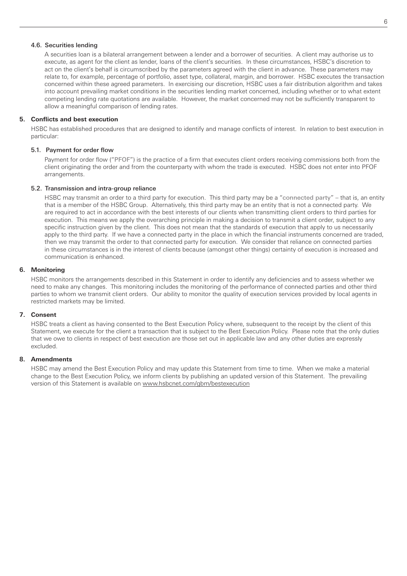# 4.6. Securities lending

A securities loan is a bilateral arrangement between a lender and a borrower of securities. A client may authorise us to execute, as agent for the client as lender, loans of the client's securities. In these circumstances, HSBC's discretion to act on the client's behalf is circumscribed by the parameters agreed with the client in advance. These parameters may relate to, for example, percentage of portfolio, asset type, collateral, margin, and borrower. HSBC executes the transaction concerned within these agreed parameters. In exercising our discretion, HSBC uses a fair distribution algorithm and takes into account prevailing market conditions in the securities lending market concerned, including whether or to what extent competing lending rate quotations are available. However, the market concerned may not be sufficiently transparent to allow a meaningful comparison of lending rates.

# **5. Conflicts and best execution**

HSBC has established procedures that are designed to identify and manage conflicts of interest. In relation to best execution in particular:

# 5.1. Payment for order flow

Payment for order flow ("PFOF") is the practice of a firm that executes client orders receiving commissions both from the client originating the order and from the counterparty with whom the trade is executed. HSBC does not enter into PFOF arrangements.

# 5.2. Transmission and intra-group reliance

HSBC may transmit an order to a third party for execution. This third party may be a "connected party" – that is, an entity that is a member of the HSBC Group. Alternatively, this third party may be an entity that is not a connected party. We are required to act in accordance with the best interests of our clients when transmitting client orders to third parties for execution. This means we apply the overarching principle in making a decision to transmit a client order, subject to any specific instruction given by the client. This does not mean that the standards of execution that apply to us necessarily apply to the third party. If we have a connected party in the place in which the financial instruments concerned are traded, then we may transmit the order to that connected party for execution. We consider that reliance on connected parties in these circumstances is in the interest of clients because (amongst other things) certainty of execution is increased and communication is enhanced.

# **6. Monitoring**

HSBC monitors the arrangements described in this Statement in order to identify any deficiencies and to assess whether we need to make any changes. This monitoring includes the monitoring of the performance of connected parties and other third parties to whom we transmit client orders. Our ability to monitor the quality of execution services provided by local agents in restricted markets may be limited.

# **7. Consent**

HSBC treats a client as having consented to the Best Execution Policy where, subsequent to the receipt by the client of this Statement, we execute for the client a transaction that is subject to the Best Execution Policy. Please note that the only duties that we owe to clients in respect of best execution are those set out in applicable law and any other duties are expressly excluded.

# **8. Amendments**

HSBC may amend the Best Execution Policy and may update this Statement from time to time. When we make a material change to the Best Execution Policy, we inform clients by publishing an updated version of this Statement. The prevailing version of this Statement is available on [www.hsbcnet.com/gbm/bestexecution](http://www.hsbcnet.com/gbm/bestexecution)